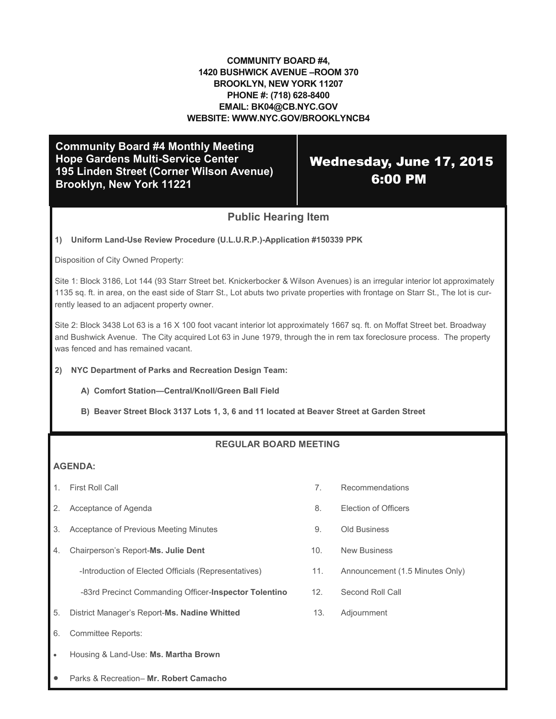### **COMMUNITY BOARD #4, 1420 BUSHWICK AVENUE –ROOM 370 BROOKLYN, NEW YORK 11207 PHONE #: (718) 628-8400 EMAIL: BK04@CB.NYC.GOV WEBSITE: WWW.NYC.GOV/BROOKLYNCB4**

**Community Board #4 Monthly Meeting Hope Gardens Multi-Service Center 195 Linden Street (Corner Wilson Avenue) Brooklyn, New York 11221**

## Wednesday, June 17, 2015 6:00 PM

## **Public Hearing Item**

### **1) Uniform Land-Use Review Procedure (U.L.U.R.P.)-Application #150339 PPK**

Disposition of City Owned Property:

Site 1: Block 3186, Lot 144 (93 Starr Street bet. Knickerbocker & Wilson Avenues) is an irregular interior lot approximately 1135 sq. ft. in area, on the east side of Starr St., Lot abuts two private properties with frontage on Starr St., The lot is currently leased to an adjacent property owner.

Site 2: Block 3438 Lot 63 is a 16 X 100 foot vacant interior lot approximately 1667 sq. ft. on Moffat Street bet. Broadway and Bushwick Avenue. The City acquired Lot 63 in June 1979, through the in rem tax foreclosure process. The property was fenced and has remained vacant.

#### **2) NYC Department of Parks and Recreation Design Team:**

- **A) Comfort Station—Central/Knoll/Green Ball Field**
- **B) Beaver Street Block 3137 Lots 1, 3, 6 and 11 located at Beaver Street at Garden Street**

### **REGULAR BOARD MEETING**

### **AGENDA:**

- 
- 2. Acceptance of Agenda 8. Election of Officers
- 3. Acceptance of Previous Meeting Minutes 9. Old Business
- 4. Chairperson's Report-Ms. Julie Dent<br>
10. New Business

-Introduction of Elected Officials (Representatives) 11. Announcement (1.5 Minutes Only)

-83rd Precinct Commanding Officer-**Inspector Tolentino** 12. Second Roll Call

- 5. District Manager's Report-**Ms. Nadine Whitted** 13. Adjournment
- 6. Committee Reports:
- Housing & Land-Use: **Ms. Martha Brown**
- Parks & Recreation– **Mr. Robert Camacho**
- 1. First Roll Call 7. Recommendations
	-
	-
	-
	-
	-
	-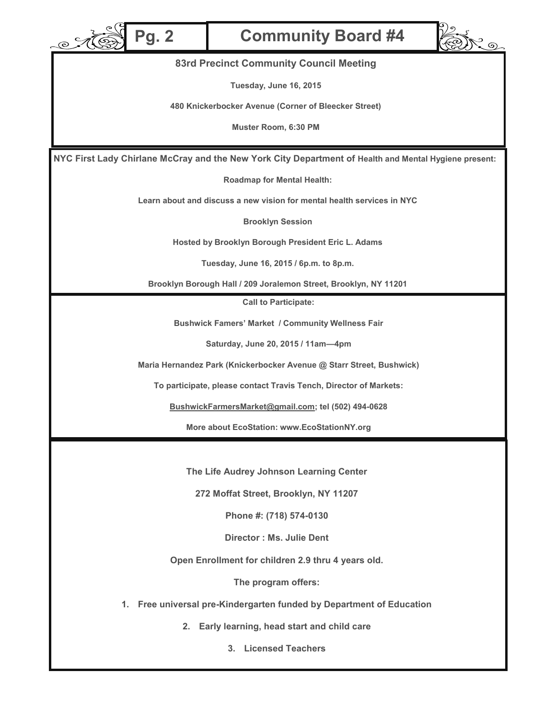

# **Pg. 2 Community Board #4**



### **83rd Precinct Community Council Meeting**

**Tuesday, June 16, 2015**

**480 Knickerbocker Avenue (Corner of Bleecker Street)**

**Muster Room, 6:30 PM**

**NYC First Lady Chirlane McCray and the New York City Department of Health and Mental Hygiene present:**

**Roadmap for Mental Health:**

**Learn about and discuss a new vision for mental health services in NYC**

**Brooklyn Session**

**Hosted by Brooklyn Borough President Eric L. Adams**

**Tuesday, June 16, 2015 / 6p.m. to 8p.m.**

**Brooklyn Borough Hall / 209 Joralemon Street, Brooklyn, NY 11201**

**Call to Participate:**

**Bushwick Famers' Market / Community Wellness Fair**

**Saturday, June 20, 2015 / 11am—4pm**

**Maria Hernandez Park (Knickerbocker Avenue @ Starr Street, Bushwick)**

**To participate, please contact Travis Tench, Director of Markets:**

**BushwickFarmersMarket@gmail.com; tel (502) 494-0628**

**More about EcoStation: www.EcoStationNY.org**

**The Life Audrey Johnson Learning Center**

**272 Moffat Street, Brooklyn, NY 11207**

**Phone #: (718) 574-0130**

**Director : Ms. Julie Dent**

**Open Enrollment for children 2.9 thru 4 years old.**

**The program offers:**

**1. Free universal pre-Kindergarten funded by Department of Education**

**2. Early learning, head start and child care**

**3. Licensed Teachers**